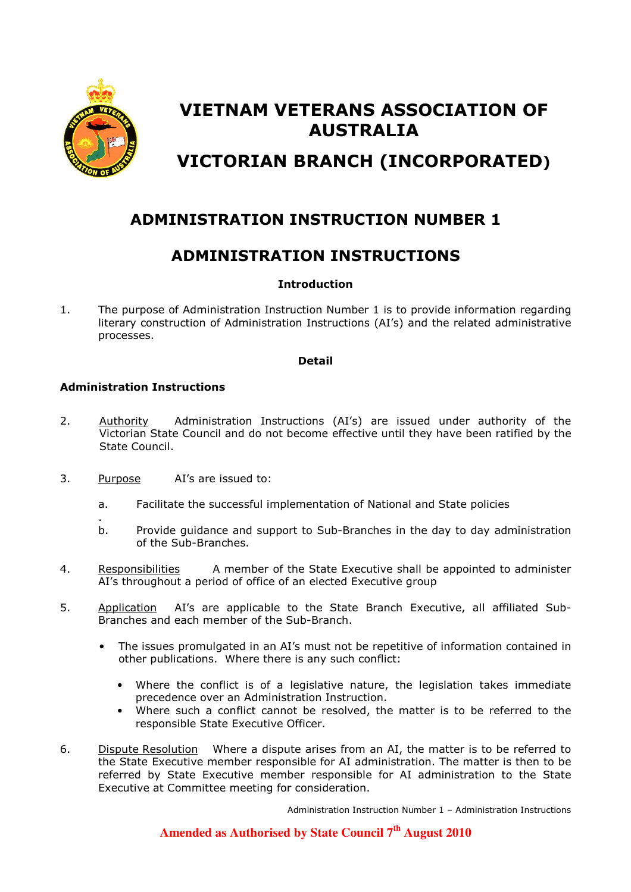

# VIETNAM VETERANS ASSOCIATION OF AUSTRALIA VICTORIAN BRANCH (INCORPORATED)

# ADMINISTRATION INSTRUCTION NUMBER 1

### ADMINISTRATION INSTRUCTIONS

### Introduction

1. The purpose of Administration Instruction Number 1 is to provide information regarding literary construction of Administration Instructions (AI's) and the related administrative processes.

#### Detail

### Administration Instructions

- 2. Authority Administration Instructions (AI's) are issued under authority of the Victorian State Council and do not become effective until they have been ratified by the State Council.
- 3. Purpose AI's are issued to:
	- a. Facilitate the successful implementation of National and State policies
	- . b. Provide guidance and support to Sub-Branches in the day to day administration of the Sub-Branches.
- 4. Responsibilities A member of the State Executive shall be appointed to administer AI's throughout a period of office of an elected Executive group
- 5. Application AI's are applicable to the State Branch Executive, all affiliated Sub-Branches and each member of the Sub-Branch.
	- The issues promulgated in an AI's must not be repetitive of information contained in other publications. Where there is any such conflict:
		- Where the conflict is of a legislative nature, the legislation takes immediate precedence over an Administration Instruction.
		- Where such a conflict cannot be resolved, the matter is to be referred to the responsible State Executive Officer.
- 6. Dispute Resolution Where a dispute arises from an AI, the matter is to be referred to the State Executive member responsible for AI administration. The matter is then to be referred by State Executive member responsible for AI administration to the State Executive at Committee meeting for consideration.

Administration Instruction Number 1 – Administration Instructions

**Amended as Authorised by State Council 7th August 2010**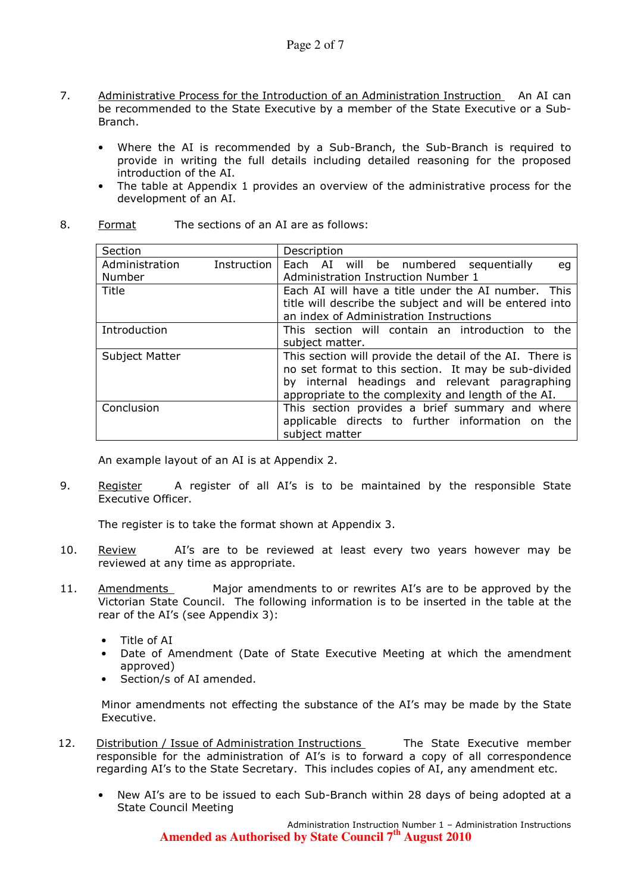- 7. Administrative Process for the Introduction of an Administration Instruction An AI can be recommended to the State Executive by a member of the State Executive or a Sub-Branch.
	- Where the AI is recommended by a Sub-Branch, the Sub-Branch is required to provide in writing the full details including detailed reasoning for the proposed introduction of the AI.
	- The table at Appendix 1 provides an overview of the administrative process for the development of an AI.

| Section        |                                                                                                                                                                                                                           | Description                                                                                                                                                   |  |  |
|----------------|---------------------------------------------------------------------------------------------------------------------------------------------------------------------------------------------------------------------------|---------------------------------------------------------------------------------------------------------------------------------------------------------------|--|--|
| Administration | <b>Instruction</b>                                                                                                                                                                                                        | Each AI will be numbered sequentially<br>eq                                                                                                                   |  |  |
| Number         |                                                                                                                                                                                                                           | Administration Instruction Number 1                                                                                                                           |  |  |
| Title          |                                                                                                                                                                                                                           | Each AI will have a title under the AI number.<br>This<br>title will describe the subject and will be entered into<br>an index of Administration Instructions |  |  |
| Introduction   |                                                                                                                                                                                                                           | This section will contain an introduction to<br>the<br>subject matter.                                                                                        |  |  |
| Subject Matter | This section will provide the detail of the AI. There is<br>no set format to this section. It may be sub-divided<br>by internal headings and relevant paragraphing<br>appropriate to the complexity and length of the AI. |                                                                                                                                                               |  |  |
| Conclusion     |                                                                                                                                                                                                                           | This section provides a brief summary and where<br>applicable directs to further information on the<br>subject matter                                         |  |  |

#### 8. Format The sections of an AI are as follows:

An example layout of an AI is at Appendix 2.

9. Register A register of all AI's is to be maintained by the responsible State Executive Officer.

The register is to take the format shown at Appendix 3.

- 10. Review AI's are to be reviewed at least every two years however may be reviewed at any time as appropriate.
- 11. Amendments Major amendments to or rewrites AI's are to be approved by the Victorian State Council. The following information is to be inserted in the table at the rear of the AI's (see Appendix 3):
	- Title of AI
	- Date of Amendment (Date of State Executive Meeting at which the amendment approved)
	- Section/s of AI amended.

Minor amendments not effecting the substance of the AI's may be made by the State Executive.

- 12. Distribution / Issue of Administration Instructions The State Executive member responsible for the administration of AI's is to forward a copy of all correspondence regarding AI's to the State Secretary. This includes copies of AI, any amendment etc.
	- New AI's are to be issued to each Sub-Branch within 28 days of being adopted at a State Council Meeting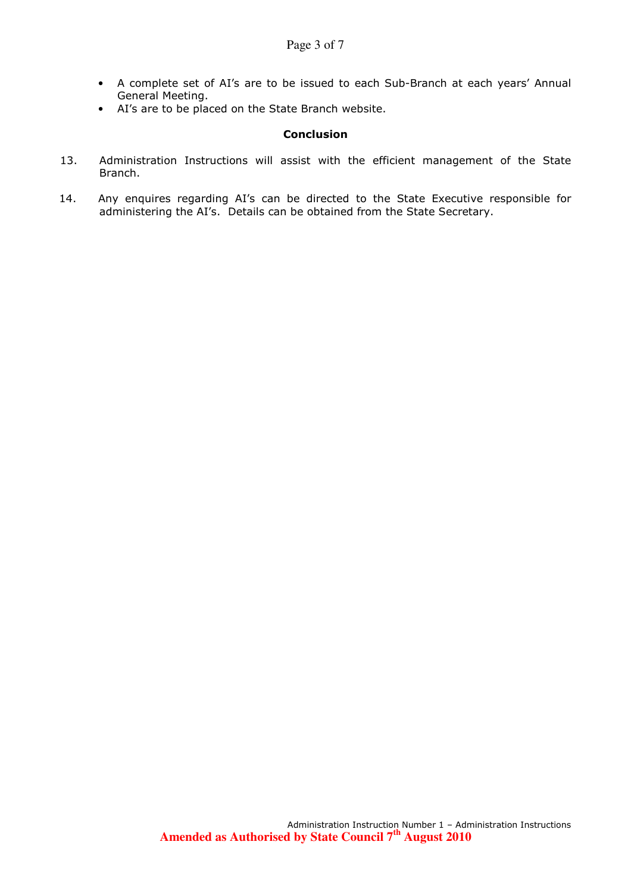- A complete set of AI's are to be issued to each Sub-Branch at each years' Annual General Meeting.
- AI's are to be placed on the State Branch website.

#### **Conclusion**

- 13. Administration Instructions will assist with the efficient management of the State Branch.
- 14. Any enquires regarding AI's can be directed to the State Executive responsible for administering the AI's. Details can be obtained from the State Secretary.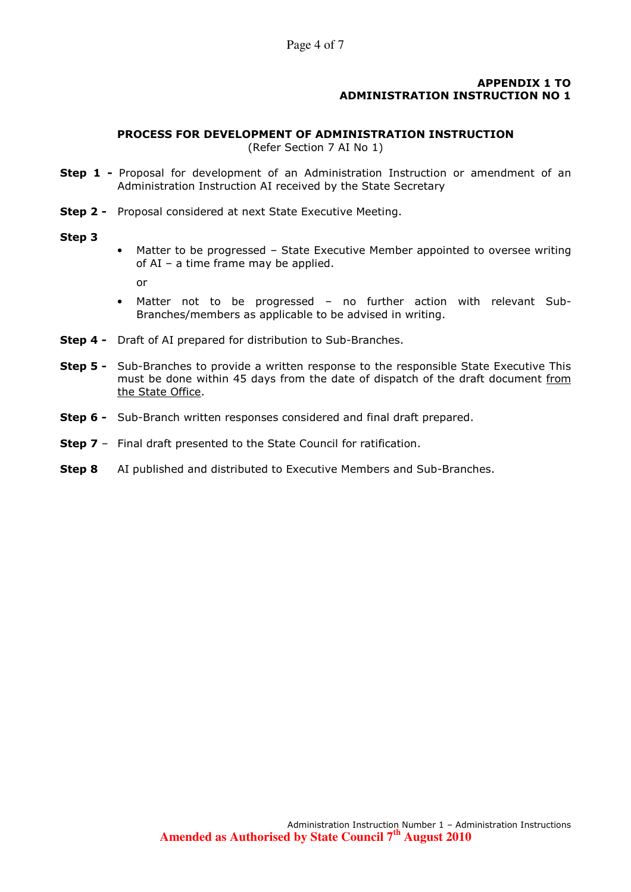#### APPENDIX 1 TO ADMINISTRATION INSTRUCTION NO 1

#### PROCESS FOR DEVELOPMENT OF ADMINISTRATION INSTRUCTION

(Refer Section 7 AI No 1)

- Step 1 Proposal for development of an Administration Instruction or amendment of an Administration Instruction AI received by the State Secretary
- **Step 2 -** Proposal considered at next State Executive Meeting.

#### Step 3

• Matter to be progressed – State Executive Member appointed to oversee writing of AI – a time frame may be applied.

or

- Matter not to be progressed no further action with relevant Sub-Branches/members as applicable to be advised in writing.
- Step 4 Draft of AI prepared for distribution to Sub-Branches.
- **Step 5 -** Sub-Branches to provide a written response to the responsible State Executive This must be done within 45 days from the date of dispatch of the draft document from the State Office.
- Step 6 Sub-Branch written responses considered and final draft prepared.
- **Step 7** Final draft presented to the State Council for ratification.
- **Step 8** AI published and distributed to Executive Members and Sub-Branches.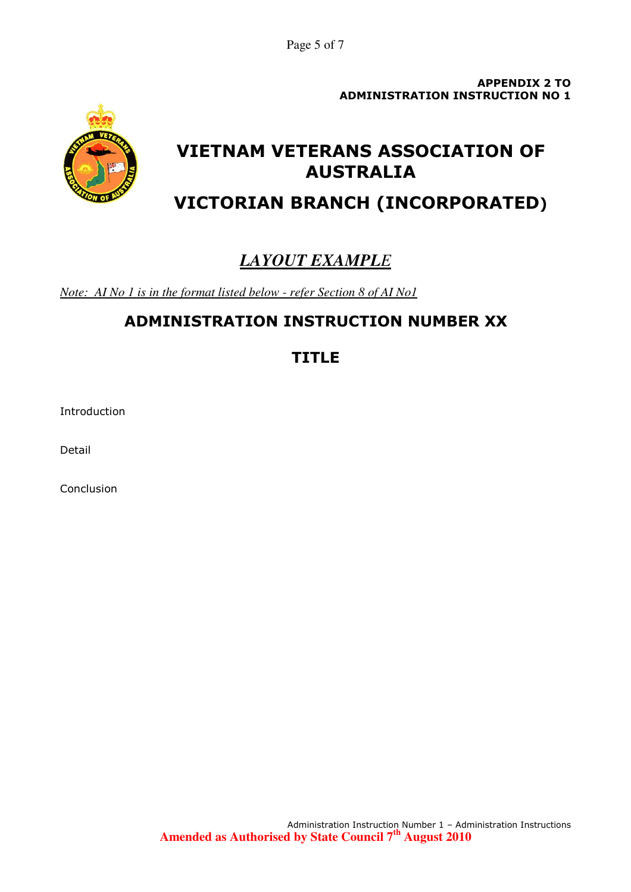Page 5 of 7

APPENDIX 2 TO ADMINISTRATION INSTRUCTION NO 1



# VIETNAM VETERANS ASSOCIATION OF AUSTRALIA

VICTORIAN BRANCH (INCORPORATED)

# *LAYOUT EXAMPLE*

*Note: AI No 1 is in the format listed below - refer Section 8 of AI No1*

## ADMINISTRATION INSTRUCTION NUMBER XX

### TITLE

Introduction

Detail

Conclusion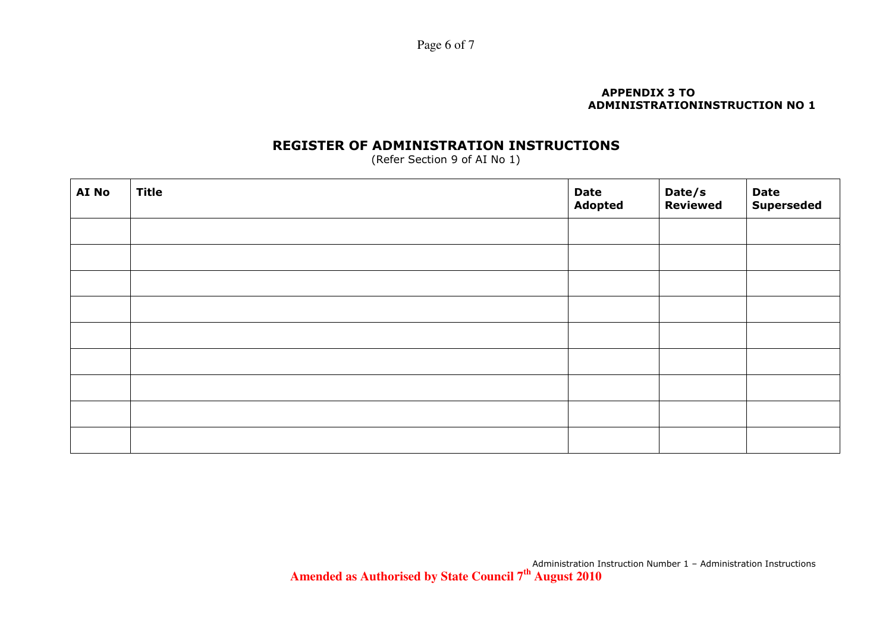Page 6 of 7

#### APPENDIX 3 TO ADMINISTRATIONINSTRUCTION NO 1

### REGISTER OF ADMINISTRATION INSTRUCTIONS

(Refer Section 9 of AI No 1)

| AI No | <b>Title</b> | Date<br>Adopted | Date/s<br>Reviewed | <b>Date<br/>Superseded</b> |
|-------|--------------|-----------------|--------------------|----------------------------|
|       |              |                 |                    |                            |
|       |              |                 |                    |                            |
|       |              |                 |                    |                            |
|       |              |                 |                    |                            |
|       |              |                 |                    |                            |
|       |              |                 |                    |                            |
|       |              |                 |                    |                            |
|       |              |                 |                    |                            |
|       |              |                 |                    |                            |